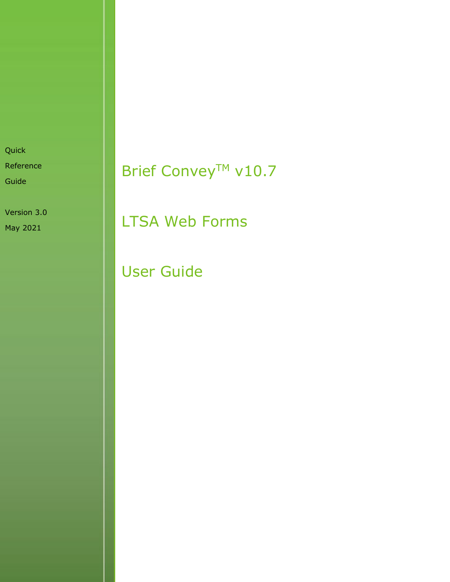Quick Reference

Guide

Version 3.0 May 2021

# Brief Convey™ v10.7

LTSA Web Forms

User Guide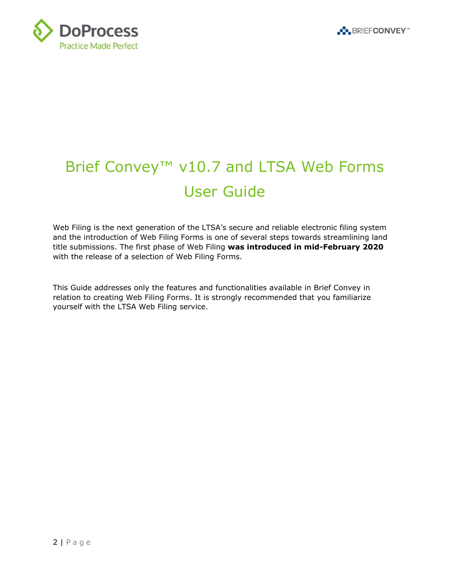



# Brief Convey<sup>™</sup> v10.7 and LTSA Web Forms User Guide

Web Filing is the next generation of the LTSA's secure and reliable electronic filing system and the introduction of Web Filing Forms is one of several steps towards streamlining land title submissions. The first phase of Web Filing **was introduced in mid-February 2020** with the release of a selection of Web Filing Forms.

This Guide addresses only the features and functionalities available in Brief Convey in relation to creating Web Filing Forms. It is strongly recommended that you familiarize yourself with the LTSA Web Filing service.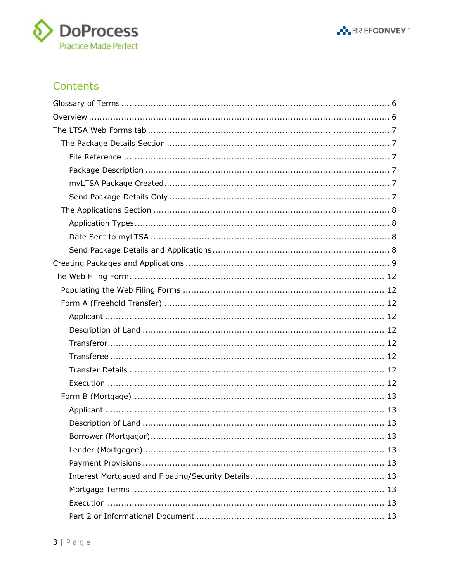



### Contents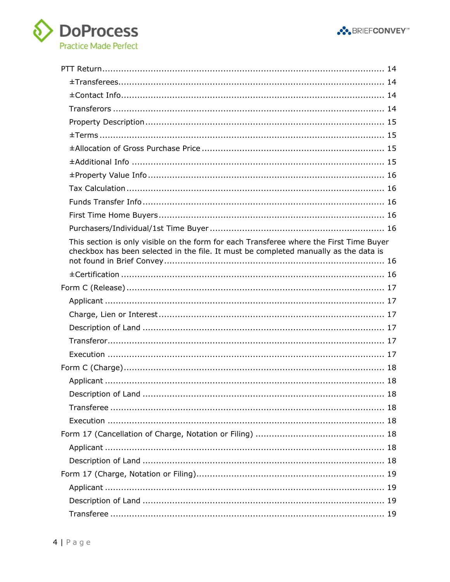



| This section is only visible on the form for each Transferee where the First Time Buyer<br>checkbox has been selected in the file. It must be completed manually as the data is |  |
|---------------------------------------------------------------------------------------------------------------------------------------------------------------------------------|--|
|                                                                                                                                                                                 |  |
|                                                                                                                                                                                 |  |
|                                                                                                                                                                                 |  |
|                                                                                                                                                                                 |  |
|                                                                                                                                                                                 |  |
|                                                                                                                                                                                 |  |
|                                                                                                                                                                                 |  |
|                                                                                                                                                                                 |  |
|                                                                                                                                                                                 |  |
| 18                                                                                                                                                                              |  |
|                                                                                                                                                                                 |  |
|                                                                                                                                                                                 |  |
|                                                                                                                                                                                 |  |
|                                                                                                                                                                                 |  |
|                                                                                                                                                                                 |  |
|                                                                                                                                                                                 |  |
|                                                                                                                                                                                 |  |
|                                                                                                                                                                                 |  |
|                                                                                                                                                                                 |  |
|                                                                                                                                                                                 |  |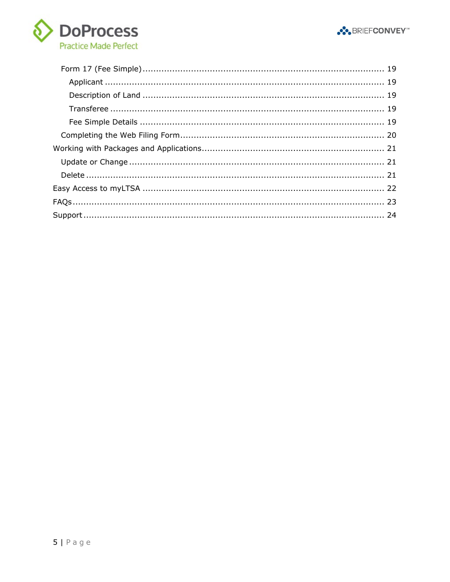

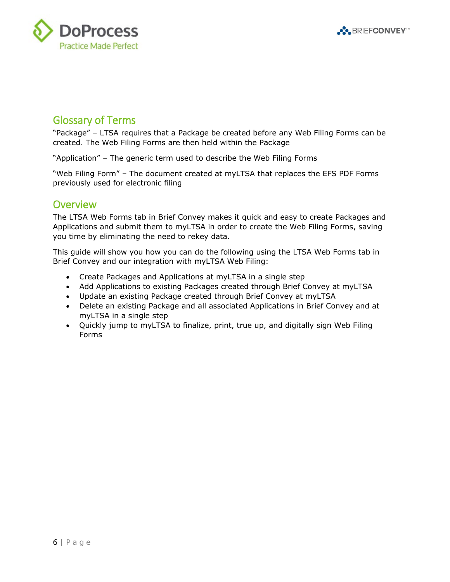



### <span id="page-5-0"></span>Glossary of Terms

"Package" – LTSA requires that a Package be created before any Web Filing Forms can be created. The Web Filing Forms are then held within the Package

"Application" – The generic term used to describe the Web Filing Forms

"Web Filing Form" – The document created at myLTSA that replaces the EFS PDF Forms previously used for electronic filing

### <span id="page-5-1"></span>**Overview**

The LTSA Web Forms tab in Brief Convey makes it quick and easy to create Packages and Applications and submit them to myLTSA in order to create the Web Filing Forms, saving you time by eliminating the need to rekey data.

This guide will show you how you can do the following using the LTSA Web Forms tab in Brief Convey and our integration with myLTSA Web Filing:

- Create Packages and Applications at myLTSA in a single step
- Add Applications to existing Packages created through Brief Convey at myLTSA
- Update an existing Package created through Brief Convey at myLTSA
- Delete an existing Package and all associated Applications in Brief Convey and at myLTSA in a single step
- Quickly jump to myLTSA to finalize, print, true up, and digitally sign Web Filing Forms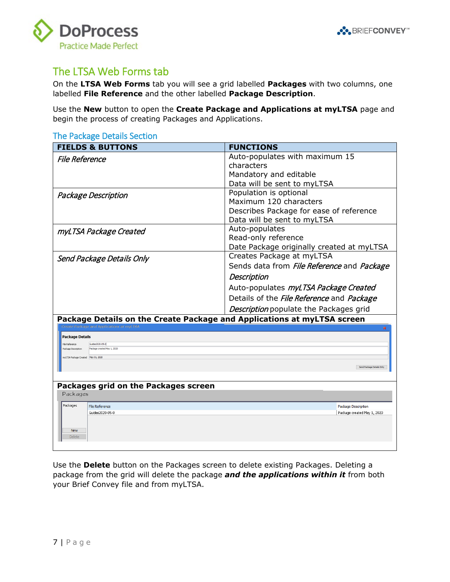



### <span id="page-6-0"></span>The LTSA Web Forms tab

On the **LTSA Web Forms** tab you will see a grid labelled **Packages** with two columns, one labelled **File Reference** and the other labelled **Package Description**.

Use the **New** button to open the **Create Package and Applications at myLTSA** page and begin the process of creating Packages and Applications.

#### <span id="page-6-1"></span>The Package Details Section

<span id="page-6-5"></span><span id="page-6-4"></span><span id="page-6-3"></span><span id="page-6-2"></span>

| <b>FIELDS &amp; BUTTONS</b>                                                                                                                                        | <b>FUNCTIONS</b>                                        |  |
|--------------------------------------------------------------------------------------------------------------------------------------------------------------------|---------------------------------------------------------|--|
| <b>File Reference</b>                                                                                                                                              | Auto-populates with maximum 15                          |  |
|                                                                                                                                                                    | characters                                              |  |
|                                                                                                                                                                    | Mandatory and editable                                  |  |
|                                                                                                                                                                    | Data will be sent to myLTSA                             |  |
| Package Description                                                                                                                                                | Population is optional                                  |  |
|                                                                                                                                                                    | Maximum 120 characters                                  |  |
|                                                                                                                                                                    | Describes Package for ease of reference                 |  |
|                                                                                                                                                                    | Data will be sent to myLTSA                             |  |
| myLTSA Package Created                                                                                                                                             | Auto-populates                                          |  |
|                                                                                                                                                                    | Read-only reference                                     |  |
|                                                                                                                                                                    | Date Package originally created at myLTSA               |  |
| Send Package Details Only                                                                                                                                          | Creates Package at myLTSA                               |  |
|                                                                                                                                                                    | Sends data from File Reference and Package              |  |
|                                                                                                                                                                    | Description                                             |  |
|                                                                                                                                                                    | Auto-populates myLTSA Package Created                   |  |
|                                                                                                                                                                    | Details of the <i>File Reference</i> and <i>Package</i> |  |
|                                                                                                                                                                    | Description populate the Packages grid                  |  |
| Package Details on the Create Package and Applications at myLTSA screen                                                                                            |                                                         |  |
| <b>Create Package and Applications at myLTSA</b>                                                                                                                   |                                                         |  |
| <b>Package Details</b>                                                                                                                                             |                                                         |  |
| Guides2020-05-0<br>File Reference<br>Package created May 1, 2020<br>Package Description                                                                            |                                                         |  |
|                                                                                                                                                                    |                                                         |  |
|                                                                                                                                                                    |                                                         |  |
|                                                                                                                                                                    |                                                         |  |
|                                                                                                                                                                    |                                                         |  |
| Packages                                                                                                                                                           |                                                         |  |
| Packages                                                                                                                                                           |                                                         |  |
| Guides2020-05-0                                                                                                                                                    | Package created May 1, 2020                             |  |
|                                                                                                                                                                    |                                                         |  |
| <b>New</b>                                                                                                                                                         |                                                         |  |
|                                                                                                                                                                    |                                                         |  |
| myLTSA Package Created May 01, 2020<br>Send Package Details Only<br>Packages grid on the Packages screen<br><b>File Reference</b><br>Package Description<br>Delete |                                                         |  |

Use the **Delete** button on the Packages screen to delete existing Packages. Deleting a package from the grid will delete the package *and the applications within it* from both your Brief Convey file and from myLTSA.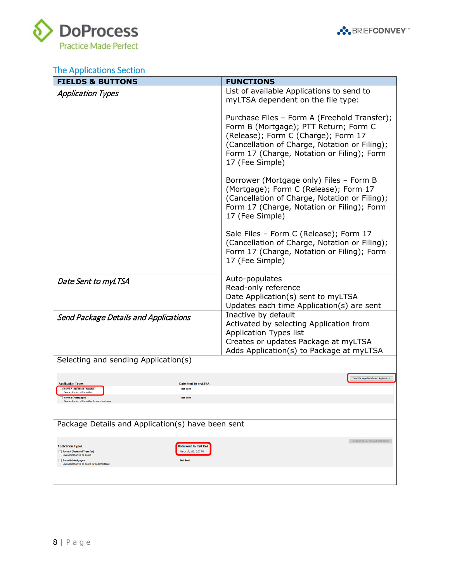



# <span id="page-7-0"></span>The Applications Section

<span id="page-7-3"></span><span id="page-7-2"></span><span id="page-7-1"></span>

| <b>FIELDS &amp; BUTTONS</b>                                                                                                                                     |                                                                  | <b>FUNCTIONS</b>                                                                                                                                                                                                                               |
|-----------------------------------------------------------------------------------------------------------------------------------------------------------------|------------------------------------------------------------------|------------------------------------------------------------------------------------------------------------------------------------------------------------------------------------------------------------------------------------------------|
| <b>Application Types</b>                                                                                                                                        |                                                                  | List of available Applications to send to<br>myLTSA dependent on the file type:                                                                                                                                                                |
|                                                                                                                                                                 |                                                                  | Purchase Files - Form A (Freehold Transfer);<br>Form B (Mortgage); PTT Return; Form C<br>(Release); Form C (Charge); Form 17<br>(Cancellation of Charge, Notation or Filing);<br>Form 17 (Charge, Notation or Filing); Form<br>17 (Fee Simple) |
|                                                                                                                                                                 |                                                                  | Borrower (Mortgage only) Files - Form B<br>(Mortgage); Form C (Release); Form 17<br>(Cancellation of Charge, Notation or Filing);<br>Form 17 (Charge, Notation or Filing); Form<br>17 (Fee Simple)                                             |
|                                                                                                                                                                 |                                                                  | Sale Files - Form C (Release); Form 17<br>(Cancellation of Charge, Notation or Filing);<br>Form 17 (Charge, Notation or Filing); Form<br>17 (Fee Simple)                                                                                       |
| Date Sent to myLTSA                                                                                                                                             |                                                                  | Auto-populates<br>Read-only reference<br>Date Application(s) sent to myLTSA<br>Updates each time Application(s) are sent                                                                                                                       |
| Send Package Details and Applications                                                                                                                           |                                                                  | Inactive by default<br>Activated by selecting Application from<br><b>Application Types list</b><br>Creates or updates Package at myLTSA<br>Adds Application(s) to Package at myLTSA                                                            |
| Selecting and sending Application(s)                                                                                                                            |                                                                  |                                                                                                                                                                                                                                                |
| <b>Application Types</b>                                                                                                                                        | <b>Date Sent to myLTSA</b>                                       | Send Package Details and Applications                                                                                                                                                                                                          |
| Form A (Freehold Transfer)<br>One annication will be added<br>Form B (Mortgage)<br>One application will be added for each Mortgage                              | <b>Not Sent</b><br><b>Not Sent</b>                               |                                                                                                                                                                                                                                                |
|                                                                                                                                                                 |                                                                  |                                                                                                                                                                                                                                                |
| Package Details and Application(s) have been sent                                                                                                               |                                                                  |                                                                                                                                                                                                                                                |
| <b>Application Types</b><br>Form A (Freehold Transfer)<br>One application will be added<br>Form B (Mortgage)<br>One application will be added for each Mortgage | Date Sent to myLTSA<br>March 17, 2021 2:07 PM<br><b>Not Sent</b> | Send Package Details and Applications                                                                                                                                                                                                          |
|                                                                                                                                                                 |                                                                  |                                                                                                                                                                                                                                                |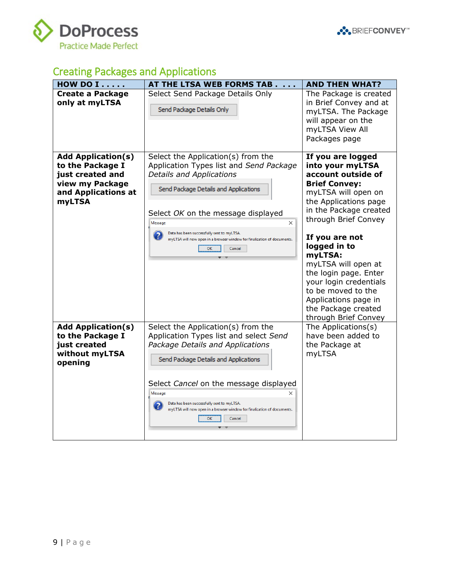



# <span id="page-8-0"></span>Creating Packages and Applications

| HOW DO I                                                                                                                     | AT THE LTSA WEB FORMS TAB                                                                                                                                                                                                                                                                                                                                           | <b>AND THEN WHAT?</b>                                                                                                                                                                                                                                                                                                                                                                                     |
|------------------------------------------------------------------------------------------------------------------------------|---------------------------------------------------------------------------------------------------------------------------------------------------------------------------------------------------------------------------------------------------------------------------------------------------------------------------------------------------------------------|-----------------------------------------------------------------------------------------------------------------------------------------------------------------------------------------------------------------------------------------------------------------------------------------------------------------------------------------------------------------------------------------------------------|
| <b>Create a Package</b><br>only at myLTSA                                                                                    | Select Send Package Details Only<br>Send Package Details Only                                                                                                                                                                                                                                                                                                       | The Package is created<br>in Brief Convey and at<br>myLTSA. The Package<br>will appear on the<br>myLTSA View All<br>Packages page                                                                                                                                                                                                                                                                         |
| <b>Add Application(s)</b><br>to the Package I<br>just created and<br>view my Package<br>and Applications at<br><b>myLTSA</b> | Select the Application(s) from the<br>Application Types list and Send Package<br>Details and Applications<br>Send Package Details and Applications<br>Select OK on the message displayed<br>Message<br>×<br>Data has been successfully sent to myLTSA.<br>myLTSA will now open in a browser window for finalization of documents.<br>OK<br>Cancel                   | If you are logged<br>into your myLTSA<br>account outside of<br><b>Brief Convey:</b><br>myLTSA will open on<br>the Applications page<br>in the Package created<br>through Brief Convey<br>If you are not<br>logged in to<br>myLTSA:<br>myLTSA will open at<br>the login page. Enter<br>your login credentials<br>to be moved to the<br>Applications page in<br>the Package created<br>through Brief Convey |
| <b>Add Application(s)</b><br>to the Package I<br>just created<br>without myLTSA<br>opening                                   | Select the Application(s) from the<br>Application Types list and select Send<br>Package Details and Applications<br>Send Package Details and Applications<br>Select Cancel on the message displayed<br>Message<br>$\times$<br>Data has been successfully sent to myLTSA.<br>myLTSA will now open in a browser window for finalization of documents.<br>OK<br>Cancel | The Applications(s)<br>have been added to<br>the Package at<br>myLTSA                                                                                                                                                                                                                                                                                                                                     |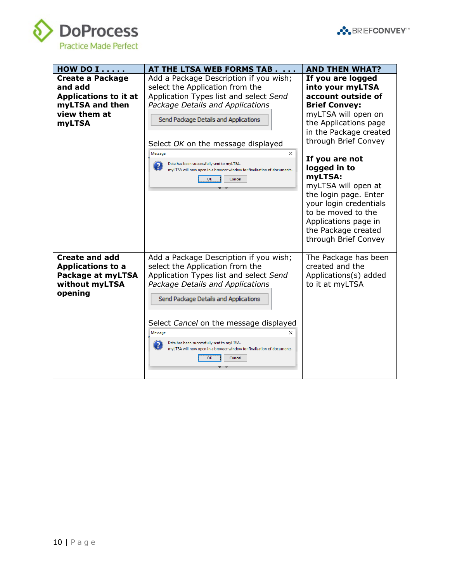



| HOW DO I                                                                                                               | AT THE LTSA WEB FORMS TAB                                                                                                                                                                                                                                                                                                                                                                              | <b>AND THEN WHAT?</b>                                                                                                                                                                                                                                                                                                                                                                                     |
|------------------------------------------------------------------------------------------------------------------------|--------------------------------------------------------------------------------------------------------------------------------------------------------------------------------------------------------------------------------------------------------------------------------------------------------------------------------------------------------------------------------------------------------|-----------------------------------------------------------------------------------------------------------------------------------------------------------------------------------------------------------------------------------------------------------------------------------------------------------------------------------------------------------------------------------------------------------|
| <b>Create a Package</b><br>and add<br><b>Applications to it at</b><br>myLTSA and then<br>view them at<br><b>myLTSA</b> | Add a Package Description if you wish;<br>select the Application from the<br>Application Types list and select Send<br>Package Details and Applications<br>Send Package Details and Applications<br>Select OK on the message displayed<br>$\times$<br>Message<br>Data has been successfully sent to myLTSA.<br>myLTSA will now open in a browser window for finalization of documents.<br>OK<br>Cancel | If you are logged<br>into your myLTSA<br>account outside of<br><b>Brief Convey:</b><br>myLTSA will open on<br>the Applications page<br>in the Package created<br>through Brief Convey<br>If you are not<br>logged in to<br>myLTSA:<br>myLTSA will open at<br>the login page. Enter<br>your login credentials<br>to be moved to the<br>Applications page in<br>the Package created<br>through Brief Convey |
| <b>Create and add</b><br><b>Applications to a</b><br>Package at myLTSA<br>without myLTSA<br>opening                    | Add a Package Description if you wish;<br>select the Application from the<br>Application Types list and select Send<br>Package Details and Applications<br>Send Package Details and Applications<br>Select Cancel on the message displayed<br>Message<br>×<br>Data has been successfully sent to myLTSA.<br>myLTSA will now open in a browser window for finalization of documents.<br>OK<br>Cancel    | The Package has been<br>created and the<br>Applications(s) added<br>to it at myLTSA                                                                                                                                                                                                                                                                                                                       |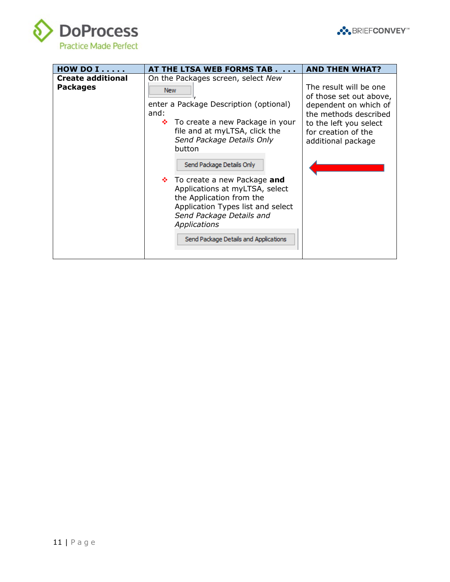

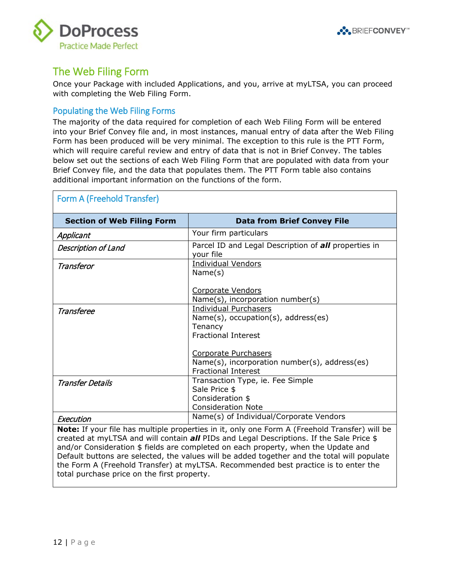



### <span id="page-11-0"></span>The Web Filing Form

Once your Package with included Applications, and you, arrive at myLTSA, you can proceed with completing the Web Filing Form.

#### <span id="page-11-1"></span>Populating the Web Filing Forms

The majority of the data required for completion of each Web Filing Form will be entered into your Brief Convey file and, in most instances, manual entry of data after the Web Filing Form has been produced will be very minimal. The exception to this rule is the PTT Form, which will require careful review and entry of data that is not in Brief Convey. The tables below set out the sections of each Web Filing Form that are populated with data from your Brief Convey file, and the data that populates them. The PTT Form table also contains additional important information on the functions of the form.

<span id="page-11-6"></span><span id="page-11-5"></span><span id="page-11-4"></span><span id="page-11-3"></span><span id="page-11-2"></span>

| Form A (Freehold Transfer)        |                                                                                                                 |  |
|-----------------------------------|-----------------------------------------------------------------------------------------------------------------|--|
| <b>Section of Web Filing Form</b> | <b>Data from Brief Convey File</b>                                                                              |  |
| Applicant                         | Your firm particulars                                                                                           |  |
| <b>Description of Land</b>        | Parcel ID and Legal Description of <b>all</b> properties in<br>your file                                        |  |
| Transferor                        | <b>Individual Vendors</b><br>Name(s)                                                                            |  |
|                                   | Corporate Vendors<br>Name(s), incorporation number(s)                                                           |  |
| Transferee                        | <b>Individual Purchasers</b><br>$Name(s)$ , occupation(s), address(es)<br>Tenancy<br><b>Fractional Interest</b> |  |
|                                   | Corporate Purchasers<br>Name(s), incorporation number(s), address(es)<br><b>Fractional Interest</b>             |  |
| <b>Transfer Details</b>           | Transaction Type, ie. Fee Simple<br>Sale Price \$<br>Consideration \$<br><b>Consideration Note</b>              |  |
| Execution                         | Name(s) of Individual/Corporate Vendors                                                                         |  |

<span id="page-11-8"></span><span id="page-11-7"></span>**Note:** If your file has multiple properties in it, only one Form A (Freehold Transfer) will be created at myLTSA and will contain *all* PIDs and Legal Descriptions. If the Sale Price \$ and/or Consideration \$ fields are completed on each property, when the Update and Default buttons are selected, the values will be added together and the total will populate the Form A (Freehold Transfer) at myLTSA. Recommended best practice is to enter the total purchase price on the first property.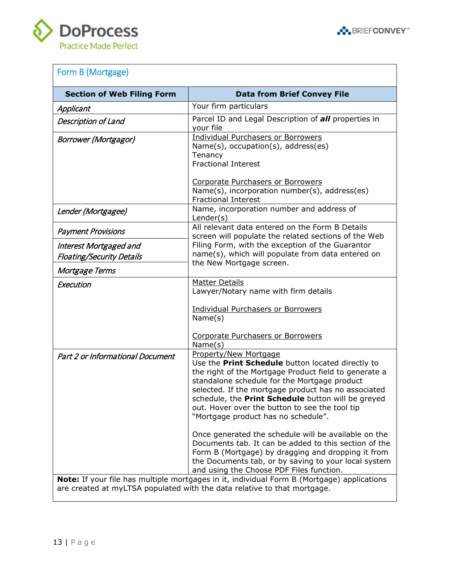



# <span id="page-12-0"></span>Form B (Mortgage)

<span id="page-12-9"></span><span id="page-12-8"></span><span id="page-12-7"></span><span id="page-12-6"></span><span id="page-12-5"></span><span id="page-12-4"></span><span id="page-12-3"></span><span id="page-12-2"></span><span id="page-12-1"></span>

| <b>Section of Web Filing Form</b>                                            | <b>Data from Brief Convey File</b>                                                                                                                                                                                                                                                                                                                                                                                                                                                                                                                               |
|------------------------------------------------------------------------------|------------------------------------------------------------------------------------------------------------------------------------------------------------------------------------------------------------------------------------------------------------------------------------------------------------------------------------------------------------------------------------------------------------------------------------------------------------------------------------------------------------------------------------------------------------------|
| Applicant                                                                    | Your firm particulars                                                                                                                                                                                                                                                                                                                                                                                                                                                                                                                                            |
| Description of Land                                                          | Parcel ID and Legal Description of all properties in<br>your file                                                                                                                                                                                                                                                                                                                                                                                                                                                                                                |
| <b>Borrower (Mortgagor)</b>                                                  | <b>Individual Purchasers or Borrowers</b><br>Name(s), occupation(s), address(es)<br>Tenancy<br><b>Fractional Interest</b><br><b>Corporate Purchasers or Borrowers</b>                                                                                                                                                                                                                                                                                                                                                                                            |
|                                                                              | Name(s), incorporation number(s), address(es)<br><b>Fractional Interest</b>                                                                                                                                                                                                                                                                                                                                                                                                                                                                                      |
| Lender (Mortgagee)                                                           | Name, incorporation number and address of<br>Lender(s)                                                                                                                                                                                                                                                                                                                                                                                                                                                                                                           |
| <b>Payment Provisions</b>                                                    | All relevant data entered on the Form B Details<br>screen will populate the related sections of the Web                                                                                                                                                                                                                                                                                                                                                                                                                                                          |
| Interest Mortgaged and<br><b>Floating/Security Details</b><br>Mortgage Terms | Filing Form, with the exception of the Guarantor<br>name(s), which will populate from data entered on<br>the New Mortgage screen.                                                                                                                                                                                                                                                                                                                                                                                                                                |
| Execution                                                                    | <b>Matter Details</b><br>Lawyer/Notary name with firm details<br><b>Individual Purchasers or Borrowers</b><br>Name(s)<br><b>Corporate Purchasers or Borrowers</b><br>Name(s)                                                                                                                                                                                                                                                                                                                                                                                     |
| Part 2 or Informational Document                                             | Property/New Mortgage<br>Use the Print Schedule button located directly to<br>the right of the Mortgage Product field to generate a<br>standalone schedule for the Mortgage product<br>selected. If the mortgage product has no associated<br>schedule, the Print Schedule button will be greyed<br>out. Hover over the button to see the tool tip<br>"Mortgage product has no schedule".<br>Once generated the schedule will be available on the<br>Documents tab. It can be added to this section of the<br>Form B (Mortgage) by dragging and dropping it from |
|                                                                              | the Documents tab, or by saving to your local system<br>and using the Choose PDF Files function.<br>Note: If your file has multiple mortgages in it, individual Form B (Mortgage) applications<br>are created at myLTSA populated with the data relative to that mortgage.                                                                                                                                                                                                                                                                                       |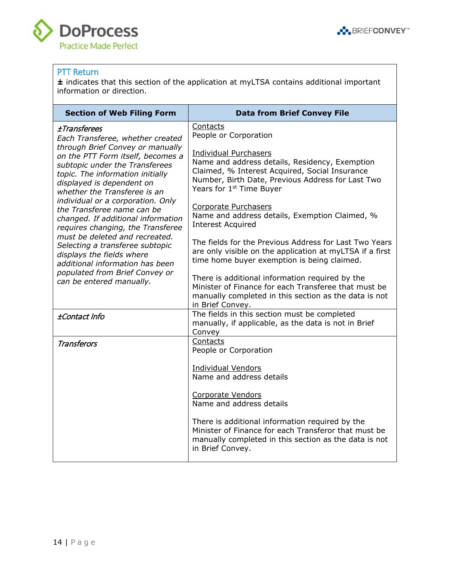



#### <span id="page-13-0"></span>PTT Return

**±** indicates that this section of the application at myLTSA contains additional important information or direction.

<span id="page-13-3"></span><span id="page-13-2"></span><span id="page-13-1"></span>

| <b>Section of Web Filing Form</b>                                                                                                                                                                                                                                                                                                             | <b>Data from Brief Convey File</b>                                                                                                                                                                                            |
|-----------------------------------------------------------------------------------------------------------------------------------------------------------------------------------------------------------------------------------------------------------------------------------------------------------------------------------------------|-------------------------------------------------------------------------------------------------------------------------------------------------------------------------------------------------------------------------------|
| <b>±Transferees</b><br>Each Transferee, whether created                                                                                                                                                                                                                                                                                       | Contacts<br>People or Corporation                                                                                                                                                                                             |
| through Brief Convey or manually<br>on the PTT Form itself, becomes a<br>subtopic under the Transferees<br>topic. The information initially<br>displayed is dependent on<br>whether the Transferee is an                                                                                                                                      | <b>Individual Purchasers</b><br>Name and address details, Residency, Exemption<br>Claimed, % Interest Acquired, Social Insurance<br>Number, Birth Date, Previous Address for Last Two<br>Years for 1 <sup>st</sup> Time Buyer |
| individual or a corporation. Only<br>the Transferee name can be<br>changed. If additional information<br>requires changing, the Transferee<br>must be deleted and recreated.<br>Selecting a transferee subtopic<br>displays the fields where<br>additional information has been<br>populated from Brief Convey or<br>can be entered manually. | Corporate Purchasers<br>Name and address details, Exemption Claimed, %<br><b>Interest Acquired</b>                                                                                                                            |
|                                                                                                                                                                                                                                                                                                                                               | The fields for the Previous Address for Last Two Years<br>are only visible on the application at myLTSA if a first<br>time home buyer exemption is being claimed.                                                             |
|                                                                                                                                                                                                                                                                                                                                               | There is additional information required by the<br>Minister of Finance for each Transferee that must be<br>manually completed in this section as the data is not<br>in Brief Convey.                                          |
| ±Contact Info                                                                                                                                                                                                                                                                                                                                 | The fields in this section must be completed<br>manually, if applicable, as the data is not in Brief<br>Convey                                                                                                                |
| <b>Transferors</b>                                                                                                                                                                                                                                                                                                                            | Contacts<br>People or Corporation                                                                                                                                                                                             |
|                                                                                                                                                                                                                                                                                                                                               | <b>Individual Vendors</b><br>Name and address details                                                                                                                                                                         |
|                                                                                                                                                                                                                                                                                                                                               | Corporate Vendors<br>Name and address details                                                                                                                                                                                 |
|                                                                                                                                                                                                                                                                                                                                               | There is additional information required by the<br>Minister of Finance for each Transferor that must be<br>manually completed in this section as the data is not<br>in Brief Convey.                                          |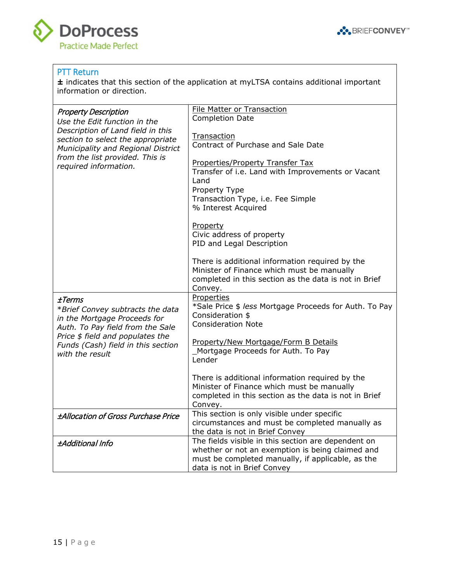

... BRIEFCONVEY<sup>®</sup>

#### PTT Return

**DoProcess** 

**Practice Made Perfect** 

**±** indicates that this section of the application at myLTSA contains additional important information or direction.

<span id="page-14-3"></span><span id="page-14-2"></span><span id="page-14-1"></span><span id="page-14-0"></span>

| <b>Property Description</b><br>Use the Edit function in the                                                                                                                                                 | <b>File Matter or Transaction</b><br><b>Completion Date</b>                                                                                                                                 |
|-------------------------------------------------------------------------------------------------------------------------------------------------------------------------------------------------------------|---------------------------------------------------------------------------------------------------------------------------------------------------------------------------------------------|
| Description of Land field in this<br>section to select the appropriate<br>Municipality and Regional District                                                                                                | Transaction<br>Contract of Purchase and Sale Date                                                                                                                                           |
| from the list provided. This is<br>required information.                                                                                                                                                    | Properties/Property Transfer Tax<br>Transfer of i.e. Land with Improvements or Vacant<br>Land<br>Property Type<br>Transaction Type, i.e. Fee Simple<br>% Interest Acquired                  |
|                                                                                                                                                                                                             | Property<br>Civic address of property<br>PID and Legal Description                                                                                                                          |
|                                                                                                                                                                                                             | There is additional information required by the<br>Minister of Finance which must be manually<br>completed in this section as the data is not in Brief<br>Convey.                           |
| ±Terms<br>*Brief Convey subtracts the data<br>in the Mortgage Proceeds for<br>Auth. To Pay field from the Sale<br>Price \$ field and populates the<br>Funds (Cash) field in this section<br>with the result | Properties<br>*Sale Price \$ less Mortgage Proceeds for Auth. To Pay<br>Consideration \$<br><b>Consideration Note</b>                                                                       |
|                                                                                                                                                                                                             | Property/New Mortgage/Form B Details<br>Mortgage Proceeds for Auth. To Pay<br>Lender                                                                                                        |
|                                                                                                                                                                                                             | There is additional information required by the<br>Minister of Finance which must be manually<br>completed in this section as the data is not in Brief<br>Convey.                           |
| <b>±Allocation of Gross Purchase Price</b>                                                                                                                                                                  | This section is only visible under specific<br>circumstances and must be completed manually as<br>the data is not in Brief Convey                                                           |
| ±Additional Info                                                                                                                                                                                            | The fields visible in this section are dependent on<br>whether or not an exemption is being claimed and<br>must be completed manually, if applicable, as the<br>data is not in Brief Convey |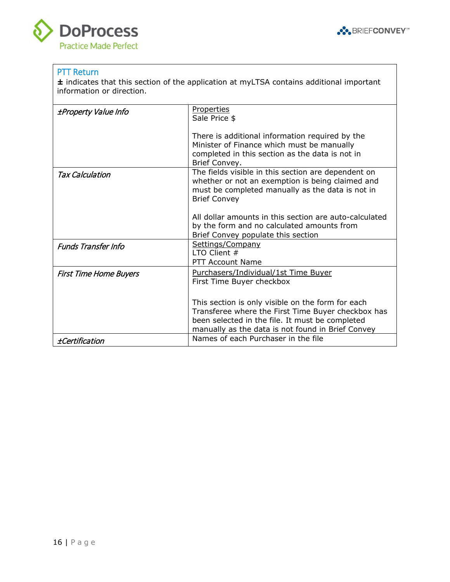



#### PTT Return

**±** indicates that this section of the application at myLTSA contains additional important information or direction.

<span id="page-15-6"></span><span id="page-15-5"></span><span id="page-15-4"></span><span id="page-15-3"></span><span id="page-15-2"></span><span id="page-15-1"></span><span id="page-15-0"></span>

| <i>±Property Value Info</i>   | <b>Properties</b><br>Sale Price \$                                                                                                                                                                              |
|-------------------------------|-----------------------------------------------------------------------------------------------------------------------------------------------------------------------------------------------------------------|
|                               | There is additional information required by the<br>Minister of Finance which must be manually<br>completed in this section as the data is not in<br>Brief Convey.                                               |
| Tax Calculation               | The fields visible in this section are dependent on<br>whether or not an exemption is being claimed and<br>must be completed manually as the data is not in<br><b>Brief Convey</b>                              |
|                               | All dollar amounts in this section are auto-calculated<br>by the form and no calculated amounts from<br>Brief Convey populate this section                                                                      |
| <b>Funds Transfer Info</b>    | Settings/Company<br>LTO Client $#$<br><b>PTT Account Name</b>                                                                                                                                                   |
| <b>First Time Home Buyers</b> | Purchasers/Individual/1st Time Buyer<br>First Time Buyer checkbox                                                                                                                                               |
|                               | This section is only visible on the form for each<br>Transferee where the First Time Buyer checkbox has<br>been selected in the file. It must be completed<br>manually as the data is not found in Brief Convey |
| <i>±Certification</i>         | Names of each Purchaser in the file                                                                                                                                                                             |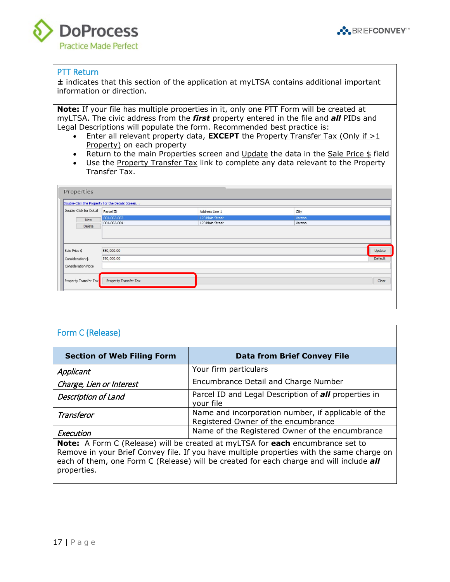



#### PTT Return

**±** indicates that this section of the application at myLTSA contains additional important information or direction.

**Note:** If your file has multiple properties in it, only one PTT Form will be created at myLTSA. The civic address from the *first* property entered in the file and *all* PIDs and Legal Descriptions will populate the form. Recommended best practice is:

- Enter all relevant property data, **EXCEPT** the Property Transfer Tax (Only if >1 Property) on each property
- Return to the main Properties screen and Update the data in the Sale Price \$ field
- Use the Property Transfer Tax link to complete any data relevant to the Property Transfer Tax.

|                         | Double-Click the Property for the Details Screen |                 |        |         |
|-------------------------|--------------------------------------------------|-----------------|--------|---------|
| Double-Click for Detail | Parcel ID                                        | Address Line 1  | City   |         |
| <b>New</b>              | 001-002-003                                      | 123 Main Street | Vernon |         |
| Delete                  | 001-002-004                                      | 123 Main Street | Vernon |         |
| Sale Price \$           | 550,000.00                                       |                 |        | Update  |
|                         |                                                  |                 |        |         |
|                         | 550,000.00                                       |                 |        | Default |
| Consideration \$        |                                                  |                 |        |         |
| Consideration Note      |                                                  |                 |        |         |

<span id="page-16-2"></span><span id="page-16-1"></span><span id="page-16-0"></span>

| Form C (Release)                  |                                                                                            |
|-----------------------------------|--------------------------------------------------------------------------------------------|
| <b>Section of Web Filing Form</b> | <b>Data from Brief Convey File</b>                                                         |
| Applicant                         | Your firm particulars                                                                      |
| Charge, Lien or Interest          | Encumbrance Detail and Charge Number                                                       |
| <b>Description of Land</b>        | Parcel ID and Legal Description of <b>all</b> properties in<br>your file                   |
| Transferor                        | Name and incorporation number, if applicable of the<br>Registered Owner of the encumbrance |
| Execution                         | Name of the Registered Owner of the encumbrance                                            |

<span id="page-16-5"></span><span id="page-16-4"></span><span id="page-16-3"></span>**Note:** A Form C (Release) will be created at myLTSA for **each** encumbrance set to Remove in your Brief Convey file. If you have multiple properties with the same charge on each of them, one Form C (Release) will be created for each charge and will include *all* properties.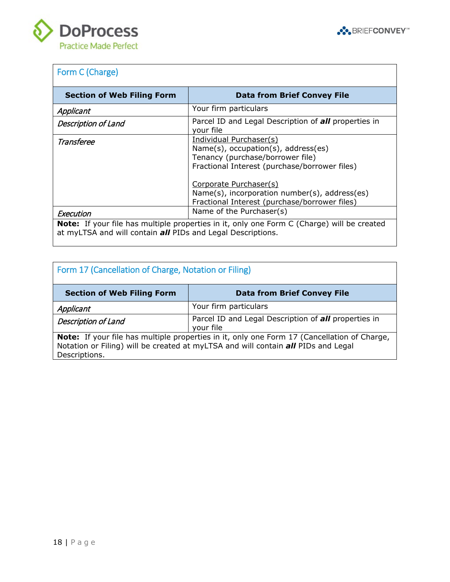



# <span id="page-17-0"></span>Form C (Charge)

<span id="page-17-3"></span><span id="page-17-2"></span><span id="page-17-1"></span>

| <b>Section of Web Filing Form</b>                                                                                                                                | <b>Data from Brief Convey File</b>                                                                                                                                                                                                                                                 |
|------------------------------------------------------------------------------------------------------------------------------------------------------------------|------------------------------------------------------------------------------------------------------------------------------------------------------------------------------------------------------------------------------------------------------------------------------------|
| Applicant                                                                                                                                                        | Your firm particulars                                                                                                                                                                                                                                                              |
| <b>Description of Land</b>                                                                                                                                       | Parcel ID and Legal Description of <b>all</b> properties in<br>your file                                                                                                                                                                                                           |
| Transferee                                                                                                                                                       | Individual Purchaser(s)<br>$Name(s)$ , occupation(s), address(es)<br>Tenancy (purchase/borrower file)<br>Fractional Interest (purchase/borrower files)<br>Corporate Purchaser(s)<br>Name(s), incorporation number(s), address(es)<br>Fractional Interest (purchase/borrower files) |
| Execution                                                                                                                                                        | Name of the Purchaser(s)                                                                                                                                                                                                                                                           |
| <b>Note:</b> If your file has multiple properties in it, only one Form C (Charge) will be created<br>at myLTSA and will contain all PIDs and Legal Descriptions. |                                                                                                                                                                                                                                                                                    |

<span id="page-17-7"></span><span id="page-17-6"></span><span id="page-17-5"></span><span id="page-17-4"></span>

| Form 17 (Cancellation of Charge, Notation or Filing)                                                                                                                                                     |                                                                          |  |
|----------------------------------------------------------------------------------------------------------------------------------------------------------------------------------------------------------|--------------------------------------------------------------------------|--|
| <b>Section of Web Filing Form</b>                                                                                                                                                                        | <b>Data from Brief Convey File</b>                                       |  |
| Applicant                                                                                                                                                                                                | Your firm particulars                                                    |  |
| <b>Description of Land</b>                                                                                                                                                                               | Parcel ID and Legal Description of <b>all</b> properties in<br>your file |  |
| <b>Note:</b> If your file has multiple properties in it, only one Form 17 (Cancellation of Charge,<br>Notation or Filing) will be created at myLTSA and will contain all PIDs and Legal<br>Descriptions. |                                                                          |  |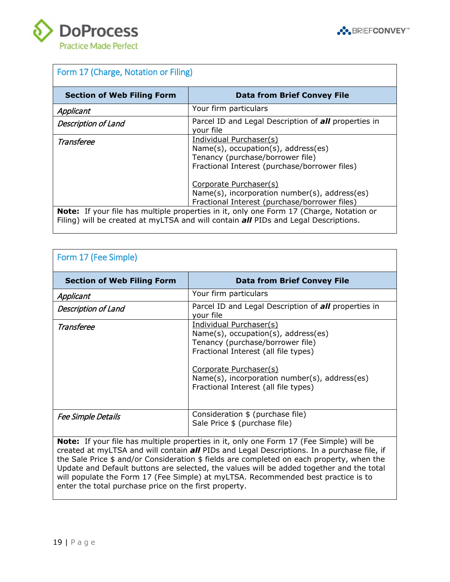



<span id="page-18-3"></span><span id="page-18-2"></span><span id="page-18-1"></span><span id="page-18-0"></span>

| Form 17 (Charge, Notation or Filing)                                                                                                                                                         |                                                                                                                                                        |  |
|----------------------------------------------------------------------------------------------------------------------------------------------------------------------------------------------|--------------------------------------------------------------------------------------------------------------------------------------------------------|--|
| <b>Section of Web Filing Form</b>                                                                                                                                                            | <b>Data from Brief Convey File</b>                                                                                                                     |  |
| Applicant                                                                                                                                                                                    | Your firm particulars                                                                                                                                  |  |
| <b>Description of Land</b>                                                                                                                                                                   | Parcel ID and Legal Description of <b>all</b> properties in<br>your file                                                                               |  |
| Transferee                                                                                                                                                                                   | Individual Purchaser(s)<br>$Name(s)$ , occupation(s), address(es)<br>Tenancy (purchase/borrower file)<br>Fractional Interest (purchase/borrower files) |  |
|                                                                                                                                                                                              | Corporate Purchaser(s)<br>Name(s), incorporation number(s), address(es)<br>Fractional Interest (purchase/borrower files)                               |  |
| <b>Note:</b> If your file has multiple properties in it, only one Form 17 (Charge, Notation or<br>Filing) will be created at myLTSA and will contain <b>all</b> PIDs and Legal Descriptions. |                                                                                                                                                        |  |

<span id="page-18-7"></span><span id="page-18-6"></span><span id="page-18-5"></span><span id="page-18-4"></span>

| Form 17 (Fee Simple)              |                                                                                                                                                                                                                                                                  |  |
|-----------------------------------|------------------------------------------------------------------------------------------------------------------------------------------------------------------------------------------------------------------------------------------------------------------|--|
| <b>Section of Web Filing Form</b> | <b>Data from Brief Convey File</b>                                                                                                                                                                                                                               |  |
| Applicant                         | Your firm particulars                                                                                                                                                                                                                                            |  |
| <b>Description of Land</b>        | Parcel ID and Legal Description of all properties in<br>your file                                                                                                                                                                                                |  |
| Transferee                        | Individual Purchaser(s)<br>$Name(s)$ , occupation(s), address(es)<br>Tenancy (purchase/borrower file)<br>Fractional Interest (all file types)<br>Corporate Purchaser(s)<br>Name(s), incorporation number(s), address(es)<br>Fractional Interest (all file types) |  |
| <b>Fee Simple Details</b>         | Consideration \$ (purchase file)<br>Sale Price \$ (purchase file)                                                                                                                                                                                                |  |

<span id="page-18-8"></span>**Note:** If your file has multiple properties in it, only one Form 17 (Fee Simple) will be created at myLTSA and will contain *all* PIDs and Legal Descriptions. In a purchase file, if the Sale Price \$ and/or Consideration \$ fields are completed on each property, when the Update and Default buttons are selected, the values will be added together and the total will populate the Form 17 (Fee Simple) at myLTSA. Recommended best practice is to enter the total purchase price on the first property.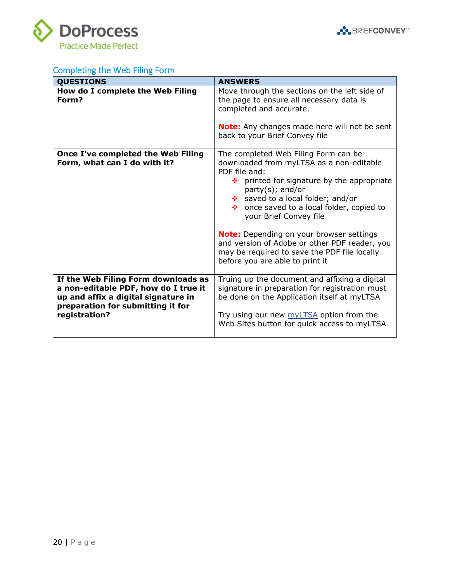



# <span id="page-19-0"></span>Completing the Web Filing Form

| <b>QUESTIONS</b>                                                                                                                                                         | <b>ANSWERS</b>                                                                                                                                                                                                                                                                                                                                                                                                                                                               |
|--------------------------------------------------------------------------------------------------------------------------------------------------------------------------|------------------------------------------------------------------------------------------------------------------------------------------------------------------------------------------------------------------------------------------------------------------------------------------------------------------------------------------------------------------------------------------------------------------------------------------------------------------------------|
| How do I complete the Web Filing<br>Form?                                                                                                                                | Move through the sections on the left side of<br>the page to ensure all necessary data is<br>completed and accurate.<br><b>Note:</b> Any changes made here will not be sent<br>back to your Brief Convey file                                                                                                                                                                                                                                                                |
| Once I've completed the Web Filing<br>Form, what can I do with it?                                                                                                       | The completed Web Filing Form can be<br>downloaded from myLTSA as a non-editable<br>PDF file and:<br>printed for signature by the appropriate<br>桑。<br>$party(s);$ and/or<br>❖ saved to a local folder; and/or<br>❖ once saved to a local folder, copied to<br>your Brief Convey file<br><b>Note:</b> Depending on your browser settings<br>and version of Adobe or other PDF reader, you<br>may be required to save the PDF file locally<br>before you are able to print it |
| If the Web Filing Form downloads as<br>a non-editable PDF, how do I true it<br>up and affix a digital signature in<br>preparation for submitting it for<br>registration? | Truing up the document and affixing a digital<br>signature in preparation for registration must<br>be done on the Application itself at myLTSA<br>Try using our new myLTSA option from the<br>Web Sites button for quick access to myLTSA                                                                                                                                                                                                                                    |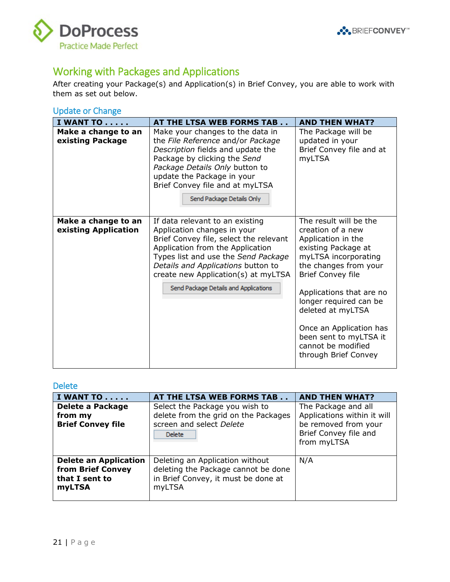



# <span id="page-20-0"></span>Working with Packages and Applications

After creating your Package(s) and Application(s) in Brief Convey, you are able to work with them as set out below.

### <span id="page-20-1"></span>Update or Change

| <b>I WANT TO</b>                            | AT THE LTSA WEB FORMS TAB                                                                                                                                                                                                                                                                                 | <b>AND THEN WHAT?</b>                                                                                                                                                                                                                                                                                                                               |
|---------------------------------------------|-----------------------------------------------------------------------------------------------------------------------------------------------------------------------------------------------------------------------------------------------------------------------------------------------------------|-----------------------------------------------------------------------------------------------------------------------------------------------------------------------------------------------------------------------------------------------------------------------------------------------------------------------------------------------------|
| Make a change to an<br>existing Package     | Make your changes to the data in<br>the File Reference and/or Package<br>Description fields and update the<br>Package by clicking the Send<br>Package Details Only button to<br>update the Package in your<br>Brief Convey file and at myLTSA<br>Send Package Details Only                                | The Package will be<br>updated in your<br>Brief Convey file and at<br>myLTSA                                                                                                                                                                                                                                                                        |
| Make a change to an<br>existing Application | If data relevant to an existing<br>Application changes in your<br>Brief Convey file, select the relevant<br>Application from the Application<br>Types list and use the Send Package<br>Details and Applications button to<br>create new Application(s) at myLTSA<br>Send Package Details and Applications | The result will be the<br>creation of a new<br>Application in the<br>existing Package at<br>myLTSA incorporating<br>the changes from your<br><b>Brief Convey file</b><br>Applications that are no<br>longer required can be<br>deleted at myLTSA<br>Once an Application has<br>been sent to myLTSA it<br>cannot be modified<br>through Brief Convey |

#### <span id="page-20-2"></span>Delete

| <b>I WANT TO</b>                                                                     | AT THE LTSA WEB FORMS TAB                                                                                               | <b>AND THEN WHAT?</b>                                                                                              |
|--------------------------------------------------------------------------------------|-------------------------------------------------------------------------------------------------------------------------|--------------------------------------------------------------------------------------------------------------------|
| <b>Delete a Package</b><br>from my<br><b>Brief Convey file</b>                       | Select the Package you wish to<br>delete from the grid on the Packages<br>screen and select Delete<br><b>Delete</b>     | The Package and all<br>Applications within it will<br>be removed from your<br>Brief Convey file and<br>from myLTSA |
| <b>Delete an Application</b><br>from Brief Convey<br>that I sent to<br><b>myLTSA</b> | Deleting an Application without<br>deleting the Package cannot be done<br>in Brief Convey, it must be done at<br>myLTSA | N/A                                                                                                                |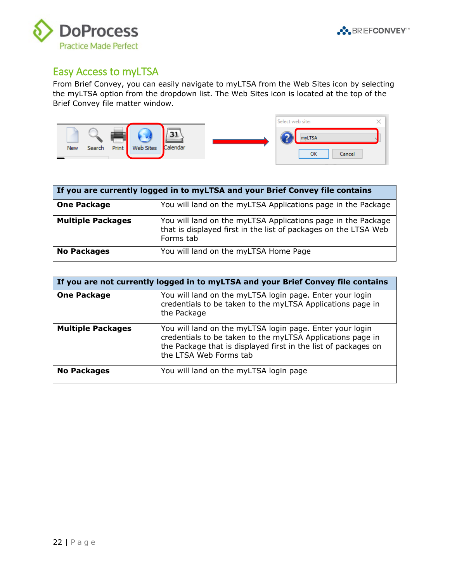



### <span id="page-21-0"></span>Easy Access to myLTSA

From Brief Convey, you can easily navigate to myLTSA from the Web Sites icon by selecting the myLTSA option from the dropdown list. The Web Sites icon is located at the top of the Brief Convey file matter window.



| If you are currently logged in to myLTSA and your Brief Convey file contains |                                                                                                                                              |  |
|------------------------------------------------------------------------------|----------------------------------------------------------------------------------------------------------------------------------------------|--|
| <b>One Package</b>                                                           | You will land on the myLTSA Applications page in the Package                                                                                 |  |
| <b>Multiple Packages</b>                                                     | You will land on the myLTSA Applications page in the Package<br>that is displayed first in the list of packages on the LTSA Web<br>Forms tab |  |
| <b>No Packages</b>                                                           | You will land on the myLTSA Home Page                                                                                                        |  |

| If you are not currently logged in to myLTSA and your Brief Convey file contains |                                                                                                                                                                                                                    |
|----------------------------------------------------------------------------------|--------------------------------------------------------------------------------------------------------------------------------------------------------------------------------------------------------------------|
| <b>One Package</b>                                                               | You will land on the myLTSA login page. Enter your login<br>credentials to be taken to the myLTSA Applications page in<br>the Package                                                                              |
| <b>Multiple Packages</b>                                                         | You will land on the myLTSA login page. Enter your login<br>credentials to be taken to the myLTSA Applications page in<br>the Package that is displayed first in the list of packages on<br>the LTSA Web Forms tab |
| <b>No Packages</b>                                                               | You will land on the myLTSA login page                                                                                                                                                                             |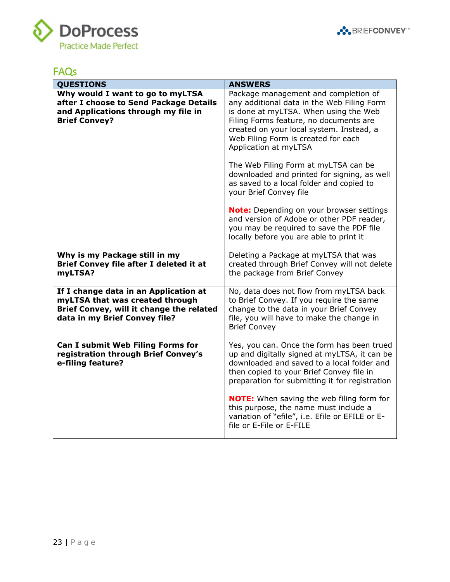



# <span id="page-22-0"></span>FAQs

| <b>QUESTIONS</b>                                                                                                                                      | <b>ANSWERS</b>                                                                                                                                                                                                                                                                                                                                                                                                       |
|-------------------------------------------------------------------------------------------------------------------------------------------------------|----------------------------------------------------------------------------------------------------------------------------------------------------------------------------------------------------------------------------------------------------------------------------------------------------------------------------------------------------------------------------------------------------------------------|
| Why would I want to go to myLTSA<br>after I choose to Send Package Details<br>and Applications through my file in<br><b>Brief Convey?</b>             | Package management and completion of<br>any additional data in the Web Filing Form<br>is done at myLTSA. When using the Web<br>Filing Forms feature, no documents are<br>created on your local system. Instead, a<br>Web Filing Form is created for each<br>Application at myLTSA<br>The Web Filing Form at myLTSA can be<br>downloaded and printed for signing, as well<br>as saved to a local folder and copied to |
|                                                                                                                                                       | your Brief Convey file<br>Note: Depending on your browser settings<br>and version of Adobe or other PDF reader,<br>you may be required to save the PDF file<br>locally before you are able to print it                                                                                                                                                                                                               |
| Why is my Package still in my<br>Brief Convey file after I deleted it at<br>myLTSA?                                                                   | Deleting a Package at myLTSA that was<br>created through Brief Convey will not delete<br>the package from Brief Convey                                                                                                                                                                                                                                                                                               |
| If I change data in an Application at<br>myLTSA that was created through<br>Brief Convey, will it change the related<br>data in my Brief Convey file? | No, data does not flow from myLTSA back<br>to Brief Convey. If you require the same<br>change to the data in your Brief Convey<br>file, you will have to make the change in<br><b>Brief Convey</b>                                                                                                                                                                                                                   |
| Can I submit Web Filing Forms for<br>registration through Brief Convey's<br>e-filing feature?                                                         | Yes, you can. Once the form has been trued<br>up and digitally signed at myLTSA, it can be<br>downloaded and saved to a local folder and<br>then copied to your Brief Convey file in<br>preparation for submitting it for registration                                                                                                                                                                               |
|                                                                                                                                                       | <b>NOTE:</b> When saving the web filing form for<br>this purpose, the name must include a<br>variation of "efile", i.e. Efile or EFILE or E-<br>file or E-File or E-FILE                                                                                                                                                                                                                                             |